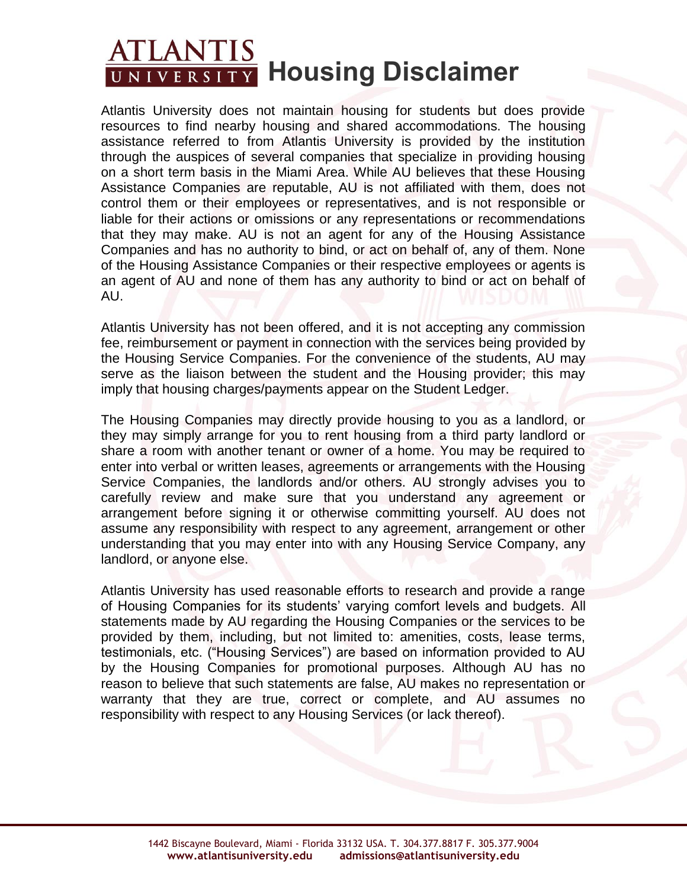## **ATLANTIS**<br>UNIVERSITY Housing Disclaimer

Atlantis University does not maintain housing for students but does provide resources to find nearby housing and shared accommodations. The housing assistance referred to from Atlantis University is provided by the institution through the auspices of several companies that specialize in providing housing on a short term basis in the Miami Area. While AU believes that these Housing Assistance Companies are reputable, AU is not affiliated with them, does not control them or their employees or representatives, and is not responsible or liable for their actions or omissions or any representations or recommendations that they may make. AU is not an agent for any of the Housing Assistance Companies and has no authority to bind, or act on behalf of, any of them. None of the Housing Assistance Companies or their respective employees or agents is an agent of AU and none of them has any authority to bind or act on behalf of AU.

Atlantis University has not been offered, and it is not accepting any commission fee, reimbursement or payment in connection with the services being provided by the Housing Service Companies. For the convenience of the students, AU may serve as the liaison between the student and the Housing provider; this may imply that housing charges/payments appear on the Student Ledger.

The Housing Companies may directly provide housing to you as a landlord, or they may simply arrange for you to rent housing from a third party landlord or share a room with another tenant or owner of a home. You may be required to enter into verbal or written leases, agreements or arrangements with the Housing Service Companies, the landlords and/or others. AU strongly advises you to carefully review and make sure that you understand any agreement or arrangement before signing it or otherwise committing yourself. AU does not assume any responsibility with respect to any agreement, arrangement or other understanding that you may enter into with any Housing Service Company, any landlord, or anyone else.

Atlantis University has used reasonable efforts to research and provide a range of Housing Companies for its students' varying comfort levels and budgets. All statements made by AU regarding the Housing Companies or the services to be provided by them, including, but not limited to: amenities, costs, lease terms, testimonials, etc. ("Housing Services") are based on information provided to AU by the Housing Companies for promotional purposes. Although AU has no reason to believe that such statements are false, AU makes no representation or warranty that they are true, correct or complete, and AU assumes no responsibility with respect to any Housing Services (or lack thereof).